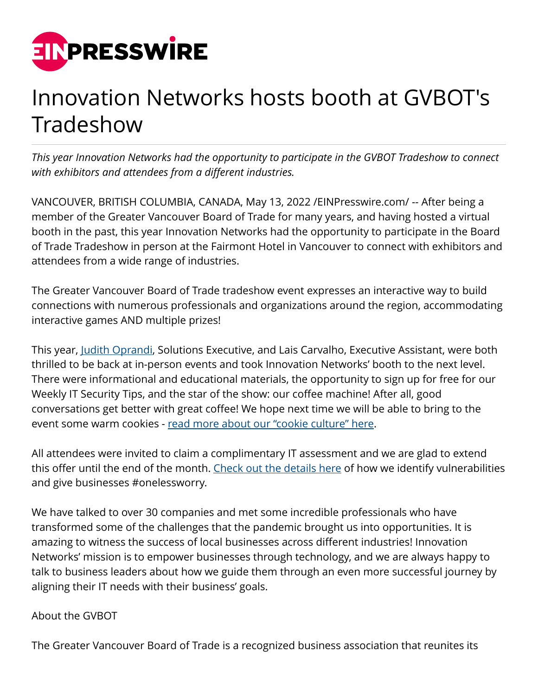

## Innovation Networks hosts booth at GVBOT's Tradeshow

*This year Innovation Networks had the opportunity to participate in the GVBOT Tradeshow to connect with exhibitors and attendees from a different industries.* 

VANCOUVER, BRITISH COLUMBIA, CANADA, May 13, 2022 [/EINPresswire.com](http://www.einpresswire.com)/ -- After being a member of the Greater Vancouver Board of Trade for many years, and having hosted a virtual booth in the past, this year Innovation Networks had the opportunity to participate in the Board of Trade Tradeshow in person at the Fairmont Hotel in Vancouver to connect with exhibitors and attendees from a wide range of industries.

The Greater Vancouver Board of Trade tradeshow event expresses an interactive way to build connections with numerous professionals and organizations around the region, accommodating interactive games AND multiple prizes!

This year, [Judith Oprandi,](https://www.linkedin.com/in/judith-r-oprandi/) Solutions Executive, and Lais Carvalho, Executive Assistant, were both thrilled to be back at in-person events and took Innovation Networks' booth to the next level. There were informational and educational materials, the opportunity to sign up for free for our Weekly IT Security Tips, and the star of the show: our coffee machine! After all, good conversations get better with great coffee! We hope next time we will be able to bring to the event some warm cookies - [read more about our "cookie culture" here.](https://innovationnetworks.com/our-culture/)

All attendees were invited to claim a complimentary IT assessment and we are glad to extend this offer until the end of the month. [Check out the details here](https://forms.office.com/pages/responsepage.aspx?id=CBtPuX7iQUSk-zkktHlKl23TDmhtAgNOnbSAJwRAy-tURFFHUVQ4OTVNMkNYWE8xUFQ5VjJOODlKWi4u) of how we identify vulnerabilities and give businesses #onelessworry.

We have talked to over 30 companies and met some incredible professionals who have transformed some of the challenges that the pandemic brought us into opportunities. It is amazing to witness the success of local businesses across different industries! Innovation Networks' mission is to empower businesses through technology, and we are always happy to talk to business leaders about how we guide them through an even more successful journey by aligning their IT needs with their business' goals.

## About the GVBOT

The Greater Vancouver Board of Trade is a recognized business association that reunites its